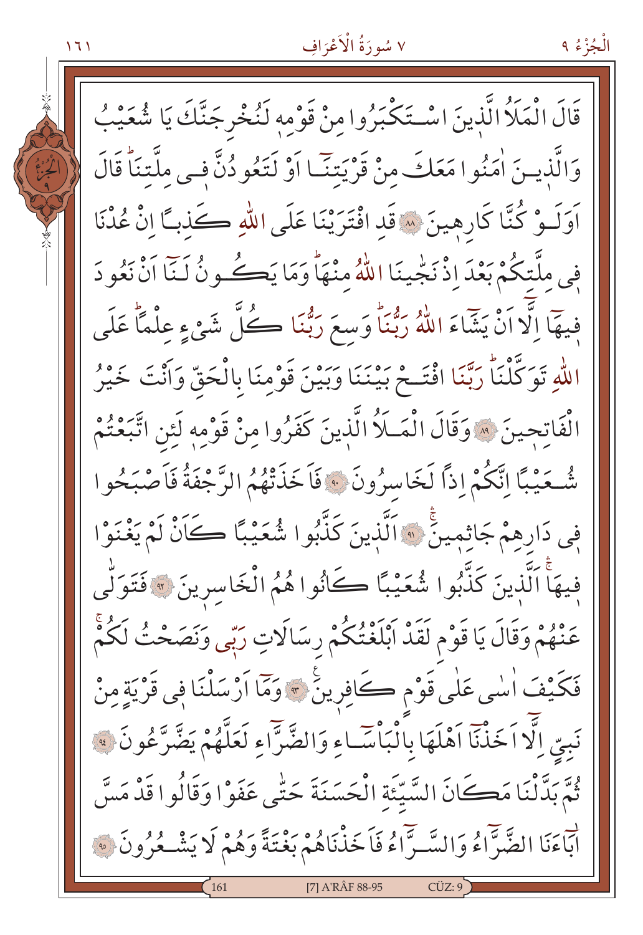الْجُزْءُ ۹

قَالَ الْمَلَأُ الَّذينَ اسْتَكْبَرُوا مِنْ قَوْمِهِ لَنُخْرِجَنَّكَ يَا شُعَيْبُ وَالَّذِينَ اٰمَنُوا مَعَكَ مِنْ قَرْيَتَنَا اَوْ لَتَعُودُنَّ فِي مِلَّتِنَاً قَالَ اَوَلَـوْ كُنَّا كَارِهِينَ \* قَد افْتَرَيْنَا عَلَى اللَّهِ كَذباً إِنْ عُدْنَا فِي ملَّتكُمْ بَعْدَ إِذْ نَجْيِنَا اللَّهُ مِنْهَاً وَمَا يَڪُونُ لَـنَا اَنْ نَعُو دَ فِيهَآالَّا اَنْ يَشَاءَ اللَّهُ رَبُّنَاۚ وَسعَ رَبُّنَا ڪُلَّ شَيْءٍ عِلْمًاۚ عَلَى اللهِ تَوَكَّلْنَاً رَبَّنَا افْتَـحْ بَيْنَنَا وَبَيْنَ قَوْمِنَا بِالْحَقِّ وَأَنْتَ خَيْرُ الْفَاتحِينَ ۞ وَقَالَ الْمَـلَاُ الَّذِينَ كَفَرُوا مِنْ قَوْمِهِ لَئِن اتَّبَعْتُمْ شُّعَيْبًا اِنَّكُمْ إِذًا لَخَاسِرُونَ ۞ فَاَخَذَتْهُمُ الرَّجْفَةُ فَاَصْبَحُوا فِي دَارِهِمْ جَاثِمِينَ ۚ " اَلَّذِينَ كَذَّبُوا شُعَيْبًا كَانْ لَمْ يَغْنَوْا فيهَاً اَلَّذينَ كَذَّبُوا شُعَيْبًا كَانُوا هُمُ الْخَاسِرِينَ ﴾ فَتَوَلَّى عَنْهُمْ وَقَالَ يَا قَوْمِ لَقَدْ أَبْلَغْتُكُمْ رِسَالَاتٍ رَبِّي وَنَصَحْتُ لَكُمْ فَكَيْفَ السِّي عَلَى قَوْمِ كَافِرِينَ \* وَمَا أَرْسَلْنَا فِي قَرْيَةٍ مِنْ نَبِيّ إِلَّا اَخَذْنَا اَهْلَهَا بِالْبَأْسَّـاءِ وَالضَّرَّاءِ لَعَلَّهُمْ يَضَّرَّعُونَ ﴾ ثُمَّ بِدَّنْنَا مَكَانَ السَّيِّئَةِ الْحَسَنَةَ حَتَّى عَفَوْا وَقَالُوا قَدْ مَسَّ لْبَاءَنَا الضَّرَّاءُ وَالسَّـرَّاءُ فَاَخَذْنَاهُمْ بَعْتَةً وَهُمْ لَا يَشْـعُرُونَ ۞ [7] A'RÂF 88-95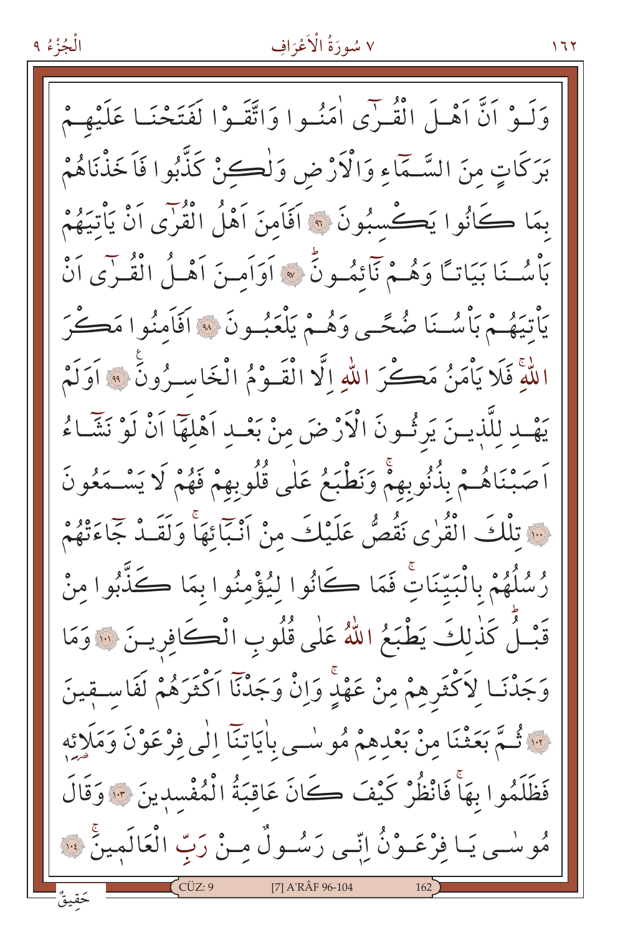الْجُزْءُ ٩

وَلَـوْ أَنَّ أَهْـلَ الْقُـرٰى اٰمَنُـوا وَاتَّقَـوْا لَفَتَحْنَـا عَلَيْهِـمْ بَرَكَاتٍ مِنَ السَّـمَّاءِ وَالْأَرْضِ وَلْكِبِّنْ كَذَّبُوا فَاَخَذْنَاهُمْ بِمَا كَانُوا يَكْسِبُونَ ۞ اَفَاَمِنَ آَهْلُ الْقُرْىِ اَنْ يَأْتِيَهُمْ بَأْسُـنَا بَيَاتًا وَهُـمْ نَآئِمُـونَّ ۞ أَوَاَمـنَ أَهْـلُ الْقُـرٰى أَنْ يَأْتِيَهُمْ بَأْسُـنَا ضُحَّـى وَهُمْ يَلْعَبُـونَ » اَفَأَمنُوا مَكُّرَ اللَّهُ فَلَا يَأْمَنُ مَكْنَ اللَّهِ الَّا الْقَـوْمُ الْخَاسـرُونَ ۞ آوَلَمْ يَهْبِ لِلَّذِينَ يَرِثُونَ الْأَرْضَ مِنْ بَعْـدِ اَهْلَهَا اَنْ لَوْ نَشَّـاءُ اَصَبْنَاهُـمْ بِذُنُوبِهِمْ وَنَطْبَعُ عَلَى قُلُوبِهِمْ فَهُمْ لَا يَسْـمَعُونَ فَ تَلْكَ الْقُرٰى نَقُصُّ عَلَيْكَ مِنْ أَنْبَائِهَا وَلَقَـٰدٌ جَاءَتْهُمْ رُسُلُهُمْ بِالْبَيِّنَاتِ فَمَا كَانُوا لِيُؤْمِنُوا بِمَا كَذَّبُوا مِنْ قَبْلُ كَذٰلِكَ يَطْبَعُ اللَّهُ عَلَى قُلُوبِ الْكَافِرِينَ ۞ وَمَا وَجَدْنَـا لِاَكْثَرِهِمْ مِنْ عَهْدِ وَإِنْ وَجَدْنَا اَكْثَرَهُمْ لَفَاسـقينَ لَنَّهُ تَمَّمَّ بَعَثْنَا مِنْ بَعْدِهِمْ مُوسْمِي بِاٰيَاتِنَا إِلَٰى فِرْعَوْنَ وَمَلَائِهِ فَظَلَمُوا بِهَاْ فَانْظُرْ كَيْفَ كَانَ عَاقِبَةُ الْمُفْسدِينَ \* وَقَالَ مُوسْمِي يَـا فِرْعَـوْنُ اِنِّمِي رَسُـولٌ مِـنْ رَبِّ الْعَالَمِينَ ۚ لِنَّهُ [7] A'RÂF 96-104

۲ ۲ ۱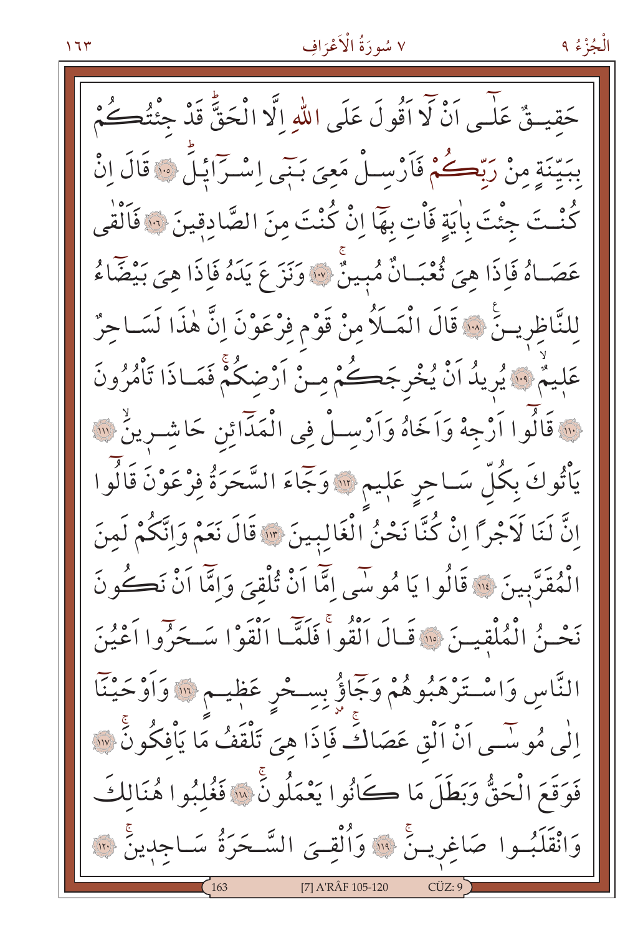حَقيتُ عَلَى أَنْ لَا أَقُولَ عَلَى اللَّهِ إِلَّا الْحَقَّ قَدْ جِئْتُڪُمْ بِبَيِّنَةٍ مِنْ رَبِّكُمْ فَأَرْسِـلْ مَعِيَ بَـبِّي إِسْـرَّائِـلَ ۞ قَالَ إِنْ كُنْتَ جِئْتَ بِاٰيَةٍ فَأْتٍ بِهَا اِنْ كُنْتَ مِنَ الصَّادِقِينَ ﴿ فَاَلْقَى عَصَـاهُ فَإِذَا هِيَ ثُعْبَـانٌ مُبِينٌ \* وَنَزَ عَ يَدَهُ فَإِذَا هِيَ بَيْضًاءُ لِلنَّاظِرِينَ ۚ ۞ قَالَ الْمَلَلُا مِنْ قَوْمٍ فِرْعَوْنَ اِنَّ هٰذَا لَسَـاحِرٌ عَلِيمٌ ﴾ يُرِيدُ اَنْ يُخْرِجَكُمْ مِنْ اَرْضِكُمْ فَمَاذَا تَأْمُرُونَ ... قَالُوا أَرْجِهْ وَأَخَاهُ وَأَرْسِـلْ فِي الْمَدَّائِنِ حَاشِـرِينٌ ۚ لِلَّهَ يَأْتُوكَ بِكُلِّ سَـاحِرِ عَلِيمٍ ™وَجَاءَ السَّحَرَةُ فِرْعَوْنَ قَالُوا إِنَّ لَنَا لَاَجْرًا إِنْ كُنَّا نَحْنُ الْغَالِبِينَ \* قَالَ نَعَمْ وَإِنَّكُمْ لَمِنَ الْمُقَرَّبِينَ ۚ ۚ قَالُوا يَا مُوسَى إِمَّا اَنْ تُلْقِيَ وَإِمَّا اَنْ نَكُونَ نَحْـنُ الْمُلْقِيـنَ ۞ قَـالَ الْقُواْ فَلَمَّـا اَلْقَوْا سَـحَرُّوا اَعْيُنَ النَّاسِ وَاسْتَرْهَبُوهُمْ وَجَمَاؤُ بِسِحْرِ عَظِيـم ۚ " وَأَوْحَيْنَا الٰی مُوسَّـی اَنْ اَلْق عَصَاكَ فَإِذَا هِیَ تَلْقَفُ مَا یَاْفکُونَ ْ ِ ٌ فَوَقَعَ الْحَقُّ وَبَطَلَ مَا كَانُوا يَعْمَلُونَ ۚ « فَغُلْبُوا هُنَالِكَ وَانْقَلَبُـوا صَاغِرِيـنَّ ۚ ۚ وَٱلْقِـيَ السَّـحَرَةُ سَـاجِدِينَ ۚ ۚ وَٱلْقَــ [7] A'RÂF 105-120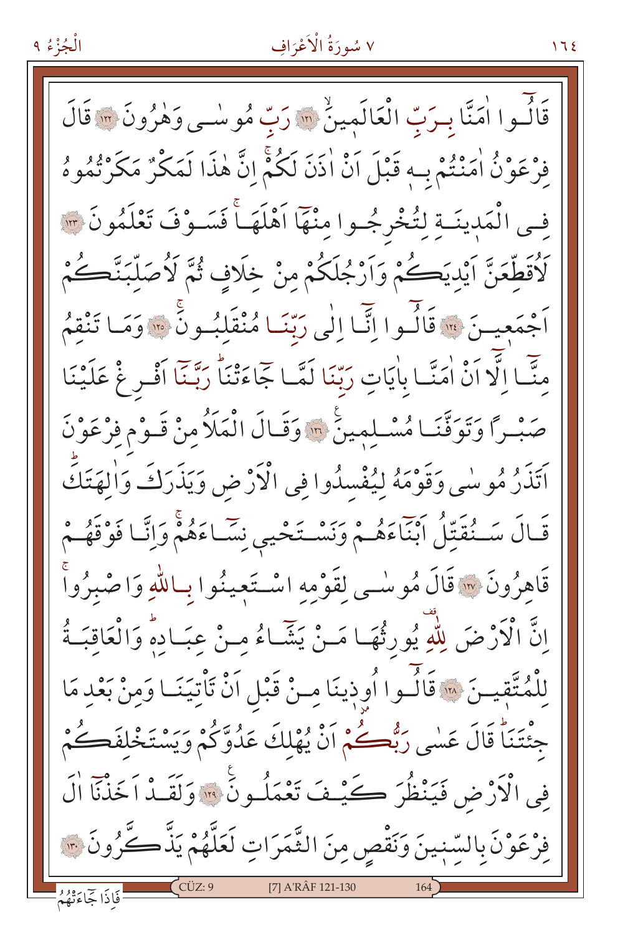الْجُزْءُ ٩

#### ٧ سُورَةُ الْأَعْرَافِ

قَالُسُوا اٰمَنَّا بِيرَبِّ الْعَالَمِينُ ۚ إِلَّا رَبِّ مُوسٰى وَهٰرُونَ ۞ قَالَ فَرْعَوْنُ اٰمَنْتُمْ بِ4 قَبْلَ أَنْ اٰذَنَ لَكُمْ إِنَّ هٰذَا لَمَكْنٌ مَكَرْتُمُوهُ فِي الْمَدِينَـةِ لِتُخْرِجُـوا مِنْهَا اَهْلَهَـاً فَسَـوْفَ تَعْلَمُونَ ٣ لَاْقَطَّعَنَّ اَيْديَكُمْ وَاَرْجُلَكُمْ مِنْ خَلَافٍ ثُمَّ لَاُصَلَّبَنَّكُمْ أَجْمَعِيـنَ ۞ قَالُـوا إِنَّمَا إِلَى رَبِّنَـا مُنْقَلِبُـونَ ۞ وَمَـا تَنْقِمُ مِنَّـا إِلَّا أَنْ اٰمَنَّـا بِاٰيَاتِ رَبِّنَا لَمَّـا جَاءَتْنَا رَبَّـنَا أَفْـرِغْ عَلَيْنَا صَبْرًا وَتَوَقَّنَا مُسْلِمِينَ \* وَقَالَ الْمَلَاُ مِنْ قَـوْمِ فِرْعَوْنَ أَتَذَرُ مُوسٰى وَقَوْمَهُ لِيُفْسِدُوا فِي الْأَرْضِ وَيَذَرَكَ وَالهَتَكَ قَـالَ سَـنُقَتِّلُ أَبْنَاءَهُـمْ وَنَسْـتَحْيِي نِسَـاءَهُمْ وَإِنَّـا فَوْقَهُـمْ قَاهِزُونَ ۞ قَالَ مُوسْى لِقَوْمِهِ اسْتَعِينُوا بِاللَّهِ وَاصْبِرُواْ إِنَّ الْأَرْضَ لِلَّهِ يُورِثُهَا مَـنْ يَشَاءُ مِـنْ عِبَـادِهِ وَالْعَاقِبَـةُ لِلْمُتَّقِيسَ ﴾ قَالُوا أُوذِينَا مِنْ قَبْلِ اَنْ تَأْتِيَنَـا وَمِنْ بَعْدِ مَا جِئْتَنَا قَالَ عَسٰى رَبُّكُمْ أَنْ يُهْلِكَ عَدُوَّكُمْ وَيَسْتَخْلِفَكُمْ فِي الْأَرْضِ فَيَنْظُرَ كَيْثِ تَعْمَلُونَ ۚ ۚ وَلَقَـٰذْ اَخَذْنَا الَّ فِرْعَوْنَ بِالسِّبْينَ وَنَقْصِ مِنَ الثَّمَرَاتِ لَعَلَّهُمْ يَذَّكَّرُونَ ٣٠ [7] A'RÂF 121-130 فَاذَا جَاءَتْهُمُ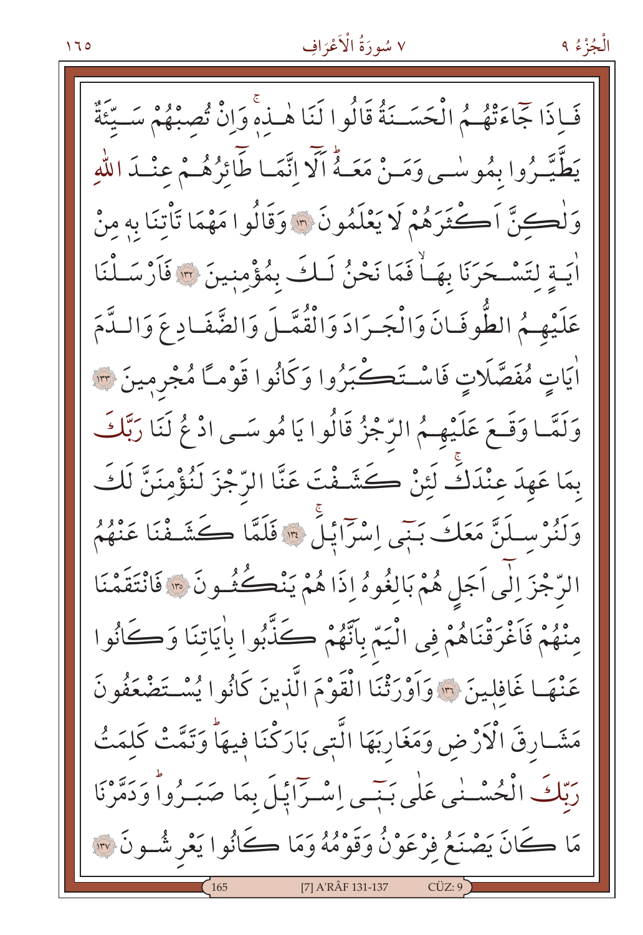الْجُزْءُ ۹

فَاذَا جَمَاءَتْهُمُ الْحَسَـنَةُ قَالُوا لَنَا هٰـذَهِ وَإِنْ تُصِبْهُمْ سَـيِّئَةٌ يَطَّيَّبُرُوا بِمُوسْبِي وَمَنْ مَعَـهُ أَلَّا إِنَّمَـا طَّائِرُهُـمْ عِنْـدَ اللَّهِ وَلْكِنَّ اَكْثَرَهُمْ لَا يَعْلَمُونَ ۞ وَقَالُوا مَهْمَا تَأْتَنَا بِهِ مِنْ اٰيَـةِ لتَسْـحَرَنَا بِهَـاْ فَمَا نَحْنُ لَـكَ بِمُؤْمِنِينَ ٣ فَأَرْسَـلْنَا عَلَيْهِمُ الطُّوفَانَ وَالْجَرَادَ وَالْقُمَّـلَ وَالضَّفَـادِ عَ وَالـدَّمَ اٰيَاتِ مُفَصَّلَاتِ فَاسْتَڪْبَرُوا وَكَانُوا قَوْمـًا مُجْرِمِينَ ۞ وَلَمَّـا وَقَـعَ عَلَيْهِـمُ الرَّجْزُ قَالُوا يَا مُوسَـى ادْ عُ لَنَا رَبَّكَ بِمَا عَهِدَ عِنْدَكً لَئِنْ كَشَـفْتَ عَنَّا الرّجْزَ لَنُؤْمِنَنَّ لَكَ وَلَنُرْسِلَنَّ مَعَكَ بَنِّي إِسْرَايْلَ ۞ فَلَمَّا كَشَفْنَا عَنْهُمُ الرَّجْزَ إِلَٰى اَجَلِ هُمْ بَالِغُوهُ إِذَا هُمْ يَنْڪُشُونَ ۞ فَانْتَقَمْنَا مِنْهُمْ فَاَغْرَقْنَاهُمْ فِي الْيَمِّ بِاَنَّهُمْ كَذَّبُوا بِاٰيَاتِنَا وَكَانُوا عَنْهَا غَافِلِينَ ﴾ وَأَوْرَثْنَا الْقَوْمَ الَّذِينَ كَانُوا يُسْتَضْعَفُونَ مَشَـارِقَ الْأَرْضِ وَمَغَارِبَهَا الَّتي بَارَكْنَا فيهَاْ وَتَمَّتْ كَلمَتُ رَبِّكَ الْحُسْـنٰى عَلٰى بَبِّـى إِسْـرّاَيْلَ بِمَا صَبَـرُواً وَدَمَّرْنَا مَا كَانَ يَصْنَعُ فِرْعَوْنُ وَقَوْمُهُ وَمَا كَانُوا يَعْرِ شُـونَ ۞ [7] A'RÂF 131-137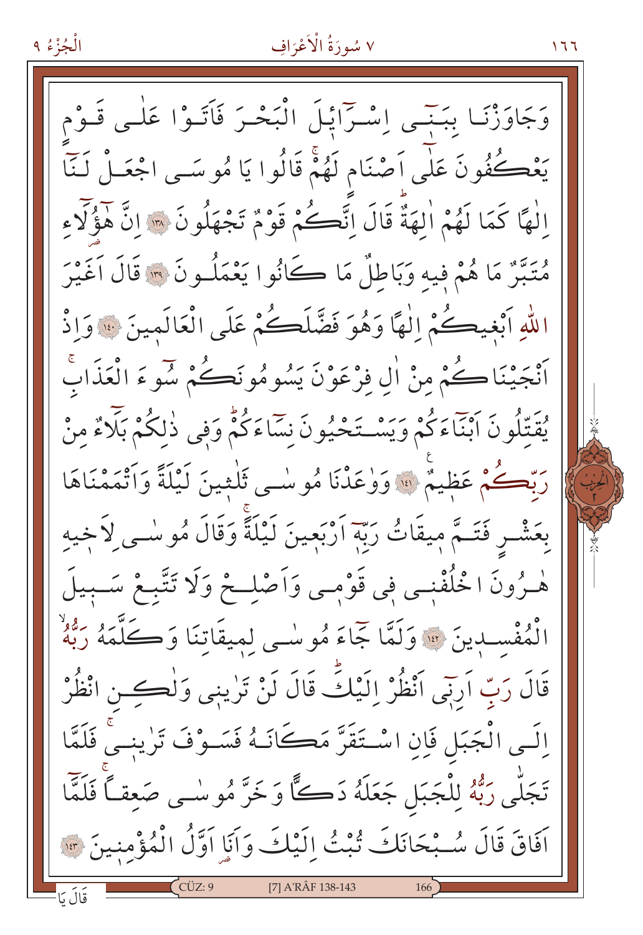الْجُزْءُ ٩

وَجَاوَزْنَـا بِبَنَـي إِسْـرَّايْـلَ الْبَحْـرَ فَاَتَـوْا عَلٰـى قَـوْم يَعْڪُفُونَ عَلٰى اَصْنَام لَهُمْ قَالُوا يَا مُوسَــى اجْعَــلْ لَـنَّا إِلٰهًا كَمَا لَهُمْ اٰلهَةٌ قَالَ إِنَّكُمْ قَوْمٌ تَجْهَلُونَ \* إِنَّ هَؤُلَّاءِ مُتَبَّرٌ مَا هُمْ فِيهِ وَبَاطِلٌ مَا كَانُوا يَعْمَلُـونَ ۞ قَالَ أَغَيْرَ اللهِ أَبْغِيكُمْ إِلٰهًا وَهُوَ فَضَّلَكُمْ عَلَى الْعَالَمِينَ ۞ وَإِذْ أَنْجَيْنَاكُمْ مِنْ الِّ فِرْعَوْنَ يَسُومُونَكُمْ سَوْءَ الْعَذَابَ يُقَتِّلُونَ ٱبْنَاءَكُمْ وَيَسْتَحْيُونَ نِسَاءَكُمْ وَفي ذٰلكُمْ بَلَّاءٌ منْ رَبِّكُمْ عَظِيمٌ ﴾ وَوْعَدْنَا مُوسْمِي ثَلْثِينَ لَيْلَةً وَأَتْمَمْنَاهَا بِعَشْـرِ فَتَــمَّ مِيقَاتُ رَبِّهِ اَرْبَعِينَ لَيْلَةً وَقَالَ مُوسْـى لاَخِيه هْـرُونَ اخْلُفْنِـي فِي قَوْمِـي وَاَصْلِــحْ وَلَا تَتَّبِـعْ سَــبِيلَ الْمُفْسِدِينَ ۞ وَلَمَّا جَمَاءَ مُوسْى لِمِيقَاتِنَا وَكَلَّمَهُ رَبُّهُ قَالَ رَبِّ اَرِنِي اَنْظُرْ إِلَيْكَ قَالَ لَنْ تَرٰينِي وَلْكِسْ انْظُرْ اِلَـى الْجَبَلِ فَإِنِ اسْـتَقَرَّ مَكَانَـهُ فَسَـوْفَ تَرٰينـىْ فَلَمَّا تَجَلَّى رَبُّهُ لِلْجَبَلِ جَعَلَهُ دَكًّا وَخَرَّ مُوسٰى صَعقـًا فَلَمَّا اَفَاقَ قَالَ سُبْحَانَكَ تُبْتُ اِلَيْكَ وَاَيَا اَوَّلُ الْمُؤْمِنِينَ \*\* [7] A'RÂF 138-143

۶ 7 7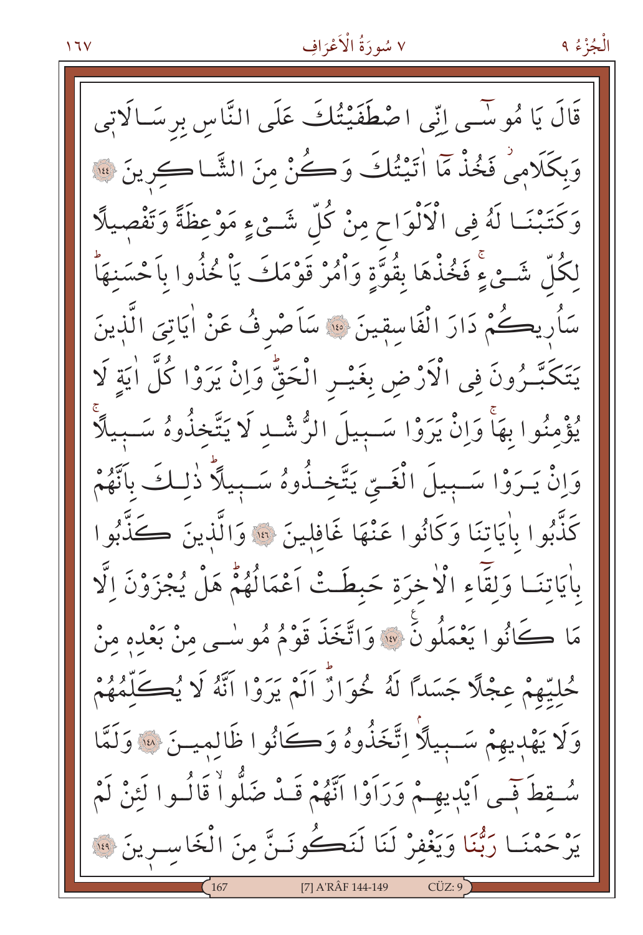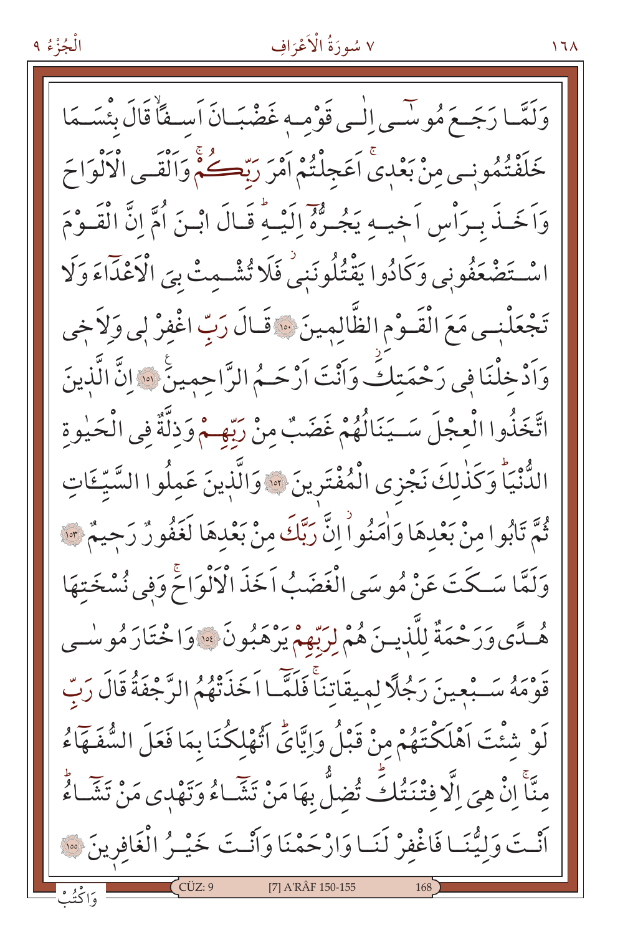وَلَمَّـا رَجَــعَ مُوسَّــى اِلْــى قَوْمــه غَضْبَــانَ اَســفَأْ قَالَ بِئْسَــمَا خَلَفْتُمُونِي مِنْ بَعْدِيَّ اَعَجِلْتُمْ اَمْرَ رَبِّكُمْ وَاَلْقَـى الْأَلْوَاحَ وَاَخَـذَ بِيرَاْسِ اَخِيـهِ يَجُـرُّهُ إِلَيْـهُ قَـالَ ابْـنَ اُمَّ انَّ الْقَـوْمَ اسْتَضْعَفُونِي وَكَادُوا يَقْتُلُونَنِي فَلَا تُشْبِعِتْ بِيَ الْأَعْذَاءَ وَلَا تَجْعَلْنِي مَعَ الْقَـوْمِ الظَّالِمِينَ ۞ قَـالَ رَبِّ اغْفِرْ لِي وَلاَخِي وَاَدْخِلْنَا فِي رَحْمَتِكَ وَاَنْتَ اَرْحَــُمُ الرَّاحِمِينَ ۞ إِنَّ الَّذِينَ اتَّخَذُوا الْعِجْلَ سَـيَنَالُهُمْ غَضَبٌ مِنْ رَبِّهِـمْ وَذِلَّةٌ فِي الْحَيْوِةِ الدُّنْيَاً وَكَذٰلِكَ نَجْزى الْمُفْتَرِينَ ۞ وَالَّذِينَ عَمِلُوا السَّيِّـَاتِ ثُمَّ تَابُوا منْ بَعْدهَا وَاٰمَنُواْ إِنَّ رَبَّكَ مِنْ بَعْدِهَا لَغَفُورٌ رَحِيمٌ \*\* وَلَمَّا سَكَّتَ عَنْ مُوسَى الْغَضَبُ اَخَذَ الْأَلْوَاحَ وَفِي نُسْخَتِهَا هُـدًّى وَرَحْمَةٌ لِلَّذِيـنَ هُمْ لِرَبَّهِمْ يَرْهَبُونَ ۞ وَاخْتَارَ مُوسْـي قَوْمَهُ سَـبْعِينَ رَجُلًا لميقَاتِنَاۚ فَلَمَّـا اَخَذَتْهُمُ الرَّجْفَةُ قَالَ رَبّ لَوْ شَئْتَ اَهْلَكْتَهُمْ مِنْ قَبْلُ وَإِيَّايٍّ اَتَّهْلِكُنَا بِمَا فَعَلَ الشُّفَـهَاءُ منَّاۚ إِنْ هِيَ إِلَّا فِتْنَتُكُثِّ تُضِلُّ بِهَا مَنْ تَشَـاءُ وَتَهْدِى مَنْ تَشَـاءُ أَنْتَ وَلِيُّنَا فَاغْفِرْ لَنَا وَارْحَمْنَا وَانَّتَ خَيْـرُ الْغَافِرِينَ ﴾ [7] A'RÂF 150-155

الْجُزْءُ ٩

 $17<sub>A</sub>$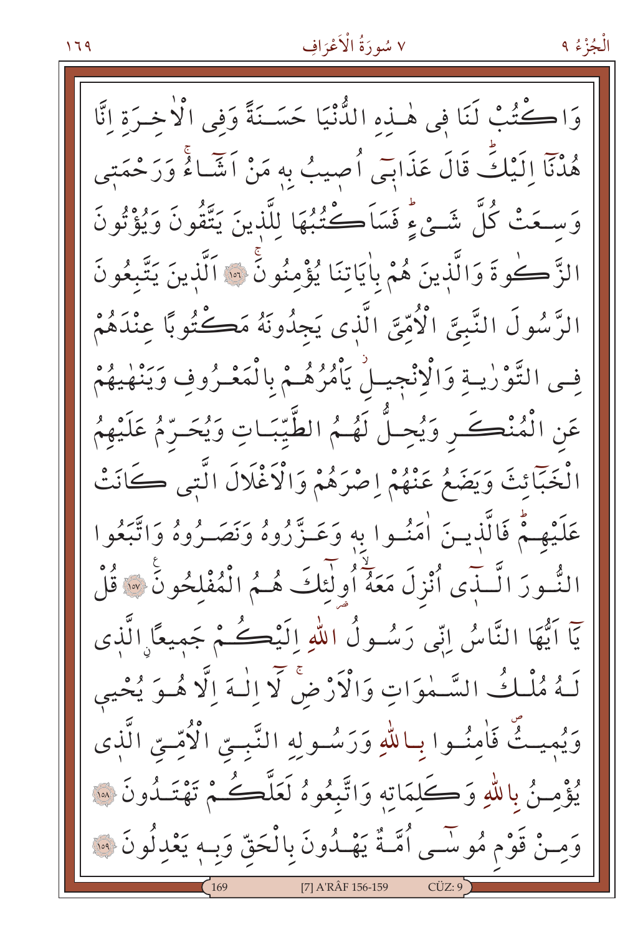وَاكْتُبْ لَنَا فِي هٰـذه الدُّنْيَا حَسَــنَةً وَفِي الْأَخـرَةِ انَّا هُدُنَآ إِلَيْكَ قَالَ عَذَابَى أُصِيبُ بِهِ مَنْ اَشَّاءُ وَرَحْمَتِي وَسِعَتْ كُلَّ شَـئٍ ءٍ فَسَاَكْتُبُهَا لِلَّذِينَ يَتَّقُونَ وَيُؤْتُونَ الزَّكُوةَ وَالَّذِينَ هُمْ بِاٰيَاتِنَا يُؤْمِنُونَ \* اَلَّذِينَ يَتَّبِعُونَ الرَّسُولَ النَّبِيَّ الْأُمِّيَّ الَّذِي يَجِدُونَهُ مَڪْتُوبًا عنْدَهُمْ فِي التَّوْرٰيةِ وَالْإِنْجِيلُ يَأْمُرُهُـمْ بِالْمَعْـرُوفِ وَيَنْهٰيهُمْ عَنِ الْمُنْكَسِ وَيُحِلُّ لَهُمُ الطَّيِّبَاتِ وَيُحَرِّمُ عَلَيْهِمُ الْخَبَّائِثَ وَيَضَعُ عَنْهُمْ إِصْرَهُمْ وَالْأَغْلَالَ الَّتِي كَانَتْ عَلَيْهِـمُّ فَالَّذيـنَ اٰمَنُـوا به وَعَـزَّرُوهُ وَنَصَـرُوهُ وَاتَّبَعُوا النُّسُورَ الَّــٰذَى أُنْزِلَ مَعَةً أُولَٰئِكَ هُــمُ الْمُفْلِحُونَ \* قُلْ يٓا اَيُّهَا النَّاسُ اِنِّي رَسُولُ اللهِ اِلَيْڪُمْ جَميعًا الَّذي لَهُ مُلْكُ السَّمْوَاتِ وَالْأَرْضَ لَا إِلٰهَ إِلَّا هُوَ يُحْيِي وَيُميتُّ فَامِنُوا بِبِاللهِ وَرَسُولِهِ النَّبِيِّ الْأُمِّيِّ الَّذِي يُؤْمِنُ بِاللَّهِ وَكَلِمَاتِهِ وَاتَّبِعُوهُ لَعَلَّكُمْ تَهْتَـٰدُونَ ۞ وَمِـنْ قَوْمٍ مُوسَّـى أُمَّـةٌ يَهْـدُونَ بِالْحَقِّ وَبِـهِ يَعْدِلُونَ ۞ [7] A'RÂF 156-159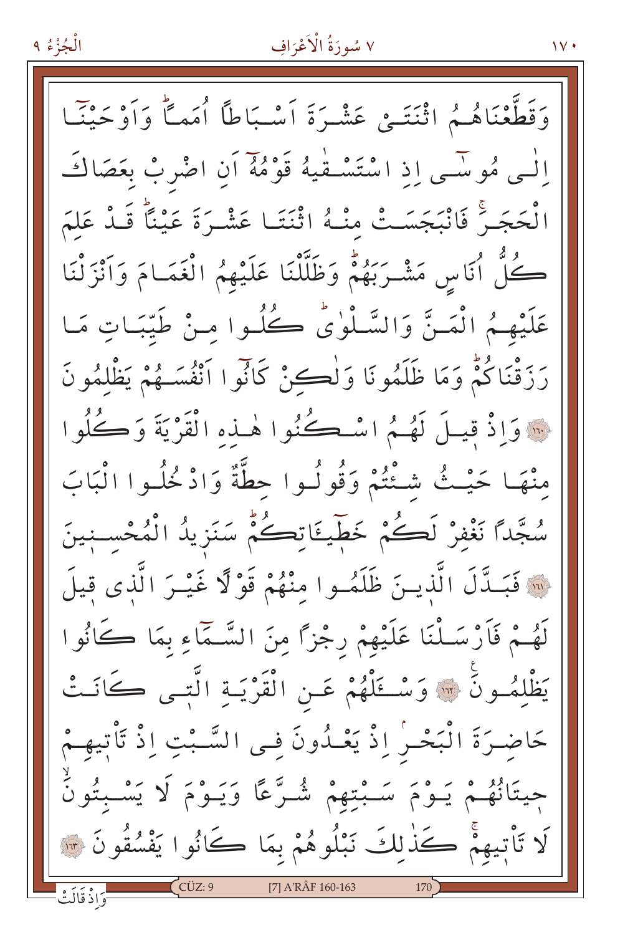#### الْجُزْءُ ٩

#### ٧ سُورَةُ الْأَعْرَافِ

وَقَطَّعْنَاهُمُ اثْنَتَمْ عَشْرَةَ أَسْبَاطاً أُمَماً وَأَوْحَيْنَـا الْبِي مُوسْبِي إِذِ اسْتَسْتَفِيهُ قَوْمُهُ أَنِ اضْرِبْ بِعَصَاكَ الْحَجَـرَ ۖ فَانْبَجَسَـتْ مِنْـهُ اثْنَتَـا عَشْـرَةَ عَيْنَاً قَـدْ عَلَمَ كُلُّ أَنَاسٍ مَشْرَبَهُمْ وَظَلَّلْنَا عَلَيْهِمُ الْغَمَـامَ وَأَنْزَلْنَا عَلَيْهِمُ الْمَنَّ وَالسَّلُّوٰيُّ كُلُوا مِنْ طَيِّبَاتٍ مَا رَرَقْنَاكُمْ وَمَا ظَلَمُونَا وَلْكِنْ كَانُوا اَنْفُسَـهُمْ يَظْلُمُونَ · وَإِذْ قِيلَ لَهُمُ اسْكُنُوا هٰـذِهِ الْقَرْيَةَ وَكُلُوا مِنْهَا حَيْثُ شَئْتُمْ وَقُولُوا حطَّةٌ وَادْخُلُوا الْبَابَ سُجَّدًا نَغْفِرْ لَكُمْ خَطِّيئَاتِكُمْ سَنَزِيدُ الْمُحْسِنِينَ ِ « فَبَـدَّلَ الَّذيـنَ ظَلَمُـوا مِنْهُمْ قَوْلًا غَيْـرَ الَّذِى قِيلَ لَهُمْ فَأَرْسَلْنَا عَلَيْهِمْ رِجْزًا مِنَ السَّمَّاءِ بِمَا كَانُوا يَظْلِمُونَ ۞ وَسْــَمَلْهُمْ عَــنِ الْقَرْيَــةِ الَّتِــى كَانَــتْ حَاضِـرَةَ الْبَحْـرِٰ إِذْ يَعْـدُونَ فِـى السَّـبْتِ إِذْ تَأْتِيهِـمْ جِيتَانُهُـمْ يَـوْمَ سَـبْتِهِمْ شُـرَّعًا وَيَـوْمَ لَا يَسْـبْتُونُ لَا تَأْتِيهِمْ كَذٰلِكَ نَبْلُوهُمْ بِمَا كَانُوا يَفْسُقُونَ ۞ [7] A'RÂF 160-163

 $\mathcal{N}$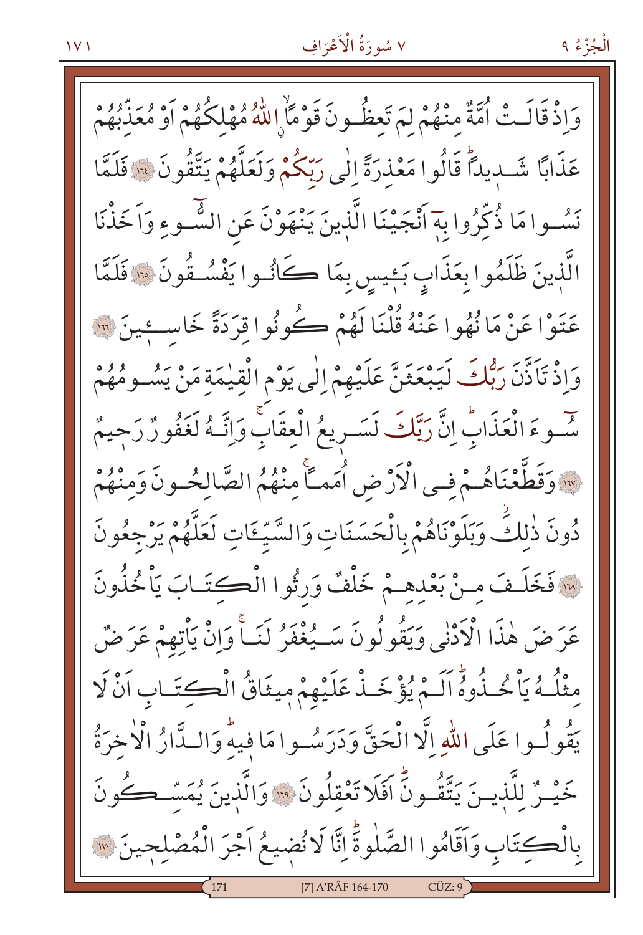الْجُزْءُ ۹

وَإِذْ قَالَتْ أُمَّةٌ مِنْهُمْ لَمَ تَعِظُّونَ قَوْمًا إِللَّهُ مُهْلِكُهُمْ أَوْ مُعَذِّبُهُمْ عَذَابًا شَّـدِيدًا قَالُوا مَعْذِرَةً إِلَٰى رَبِّكُمْ وَلَعَلَّهُمْ يَتَّقُونَ ۚ ۚ فَلَمَّا نَسُوا مَا ذُكِّرُوا بِهَ أَنْجَيْنَا الَّذِينَ يَنْهَوْنَ عَنِ الشَّـوءِ وَاَخَذْنَا الَّذِينَ ظَلَمُوا بِعَذَابٍ بَئِيسٍ بِمَا كَانُوا يَفْسُـفُونَ ۞ فَلَمَّا عَتَوْا عَنْ مَا نُهُوا عَنْهُ قُلْنَا لَهُمْ ڪُونُوا قِرَدَةً خَاسِئِينَ ۞ وَإِذْ تَأَذَّنَ رَبُّكَ لَيَبْعَثَنَّ عَلَيْهِمْ إِلَى يَوْمِ الْقِيٰمَةِ مَنْ يَسُومُهُمْ سَّـوءَ الْعَذَابِّ إِنَّ رَبَّكَ لَسَـرِيعُ الْعِقَابِ وَإِنَّـهُ لَغَفُونٌ رَجِيمٌ ·· وَقَطَّعْنَاهُـمْ فِـى الْأَرْضِ أُمَمَـَّا مِنْهُمُ الصَّالِحُـونَ وَمِنْهُمْ دُونَ ذٰلكَ وَبَلَوْنَاهُمْ بِالْحَسَنَاتِ وَالسَّيِّٵَتِ لَعَلَّهُمْ يَرْجِعُونَ لِهِ فَخَلَـفَ مِـنْ بَعْدِهِـمْ خَلْفٌ وَرِثُوا الْكِتَـابَ يَاْخُذُونَ عَرَضَ هٰذَا الْأَدْنٰى وَيَقُولُونَ سَــيُغْفَرُ لَنَــاْ وَإِنْ يَأْتِهِمْ عَرَضٌ مثْلُهُ يَأْخُذُوهُ اَلَـمْ يُؤْخَذْ عَلَيْهِمْ مِيثَاقُ الْكِتَـابِ اَنْ لَا يَقُولُـوا عَلَى اللّٰهِ اِلَّا الْحَقَّ وَدَرَسُـوا مَا فيهٌ وَالـدَّارُ الْأَخرَةُ خَيْـرٌ للَّذِيـنَ يَتَّقُـونَّ افَلَا تَعْقِلُونَ ۚ ۚ وَالَّذِينَ يُمَسَّــكُونَ بِالْكِتَابِ وَأَقَامُوا الصَّلٰوةَ إِنَّا لَا نُضيعُ أَجْرَ الْمُصْلِحِينَ ۞ [7] A'RÂF 164-170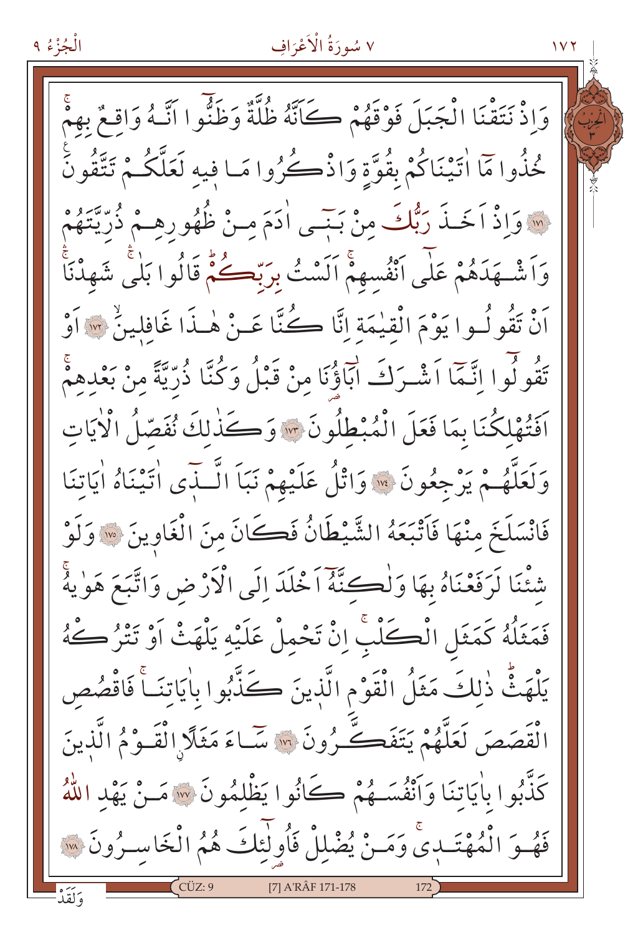وَإِذْ نَتَقْنَا الْجَبَلَ فَوْقَهُمْ كَاَنَّهُ ظُلَّةٌ وَظَنُّوا اتَّـهُ وَاقِعٌ بِهِمْ حُذُوا مَّا اٰتَيْنَاكُمْ بِقُوَّةٍ وَاذْكُرُوا مَـا فِيه لَعَلَّكُـمْ تَتَّقُونَ وَإِذْ أَخَـٰذَ رَبُّكَ مِنْ بَنِـي أَدَمَ مِـنْ ظُهُورِهِـمْ ذُرِّيَّتَهُمْ وَاَشْــهَدَهُمْ عَلَى اَنْفُسهمْ اَلَسْتُ بِرَبّعتُكُمْ قَالُوا بَلْي شَهِدْنَا رَّةٍ مِنْهُولُـوا يَوْمَ الْقِيْمَةِ إِنَّا كُنَّا عَـنْ هٰـذَا غَافلينُّ ™ أَوْ تَقُولُوا اِنَّمَّا اَشْرَكَ اَبَاؤُنَا مِنْ قَبْلُ وَكُنَّا ذُرِّيَّةً مِنْ بَعْدهِمْ اَفَتُهْلِكُنَا بِمَا فَعَلَ الْمُبْطِلُونَ \* وَكَذٰلِكَ نُفَصِّلُ الْإِيَاتِ وَلَعَلَّهُمْ يَرْجِعُونَ \* وَاتْلُ عَلَيْهِمْ نَبَاً الَّـذِّي اٰتَيْنَاهُ اٰيَاتِنَا فَانْسَلَخَ مِنْهَا فَأَتْبَعَهُ الشَّيْطَانُ فَكَانَ مِنَ الْغَاوِينَ ۞ وَلَوْ شْنَنَا لَرَفَعْنَاهُ بِهَا وَلْكِنَّهُ اَخْلَدَ إِلَى الْأَرْضِ وَاتَّبَعَ هَوٰيهُ فَمَثَلُهُ كَمَثَلِ الْكُلْبُ إِنْ تَحْمِلْ عَلَيْهِ يَلْهَثْ أَوْ تَتْرُكُمُ يَلْهَثُّ ذٰلِكَ مَثَلُ الْقَوْمِ الَّذِينَ كَذَّبُوا بِاٰيَاتِنَـاْ فَاقْصُصِ الْقَصَصَ لَعَلَّهُمْ يَتَفَكَّـرُونَ ۞ سَّـاءَ مَثَلًا الْقَـوْمُ الَّذِينَ كَذَّبُوا بِاٰيَاتِنَا وَاَنْفُسَـهُمْ كَانُوا يَظْلَمُونَ ۞ مَـنْ يَهْدِ اللَّهُ فَهُوَ الْمُهْتَـٰدِيَّ وَمَـنْ يُضْلِلْ فَأُولٰئِكَ هُمُ الْخَاسِـرُونَ ۞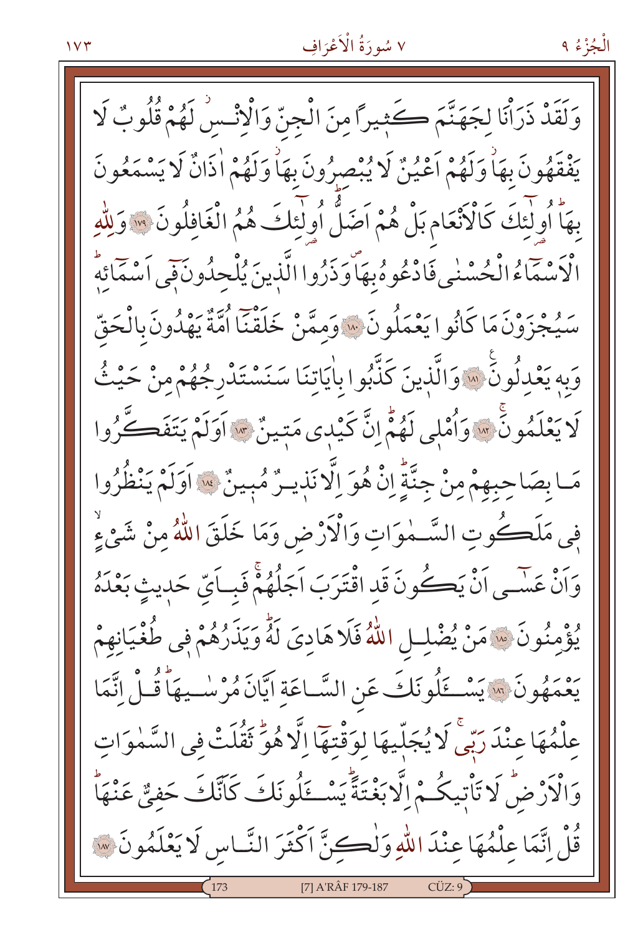وَلَقَدْ ذَرَأْنَا لِجَهَنَّمَ كَثِيرًا مِنَ الْجِنِّ وَالْإِنْكُسْ لَهُمْ قُلُوبٌ لَا يَفْقَهُونَ بِهَاْ وَلَهُمْ أَعْيُنٌ لَا يُبْصِرُونَ بِهَاْ وَلَهُمْ اٰذَانٌ لَا يَسْمَعُونَ بِهَا أُولِيْكَ كَالْأَنْعَامِ بَلْ هُمْ اَصَلُّ أُولَٰئِكَ هُمُ الْغَافِلُونَ ۞ وَلِلَّهِ الْأَسْمَاءُ الْحُسْنٰى فَادْعُوهُ بِهَاّوَذَرُوا الَّذِينَ يُلْحِدُونَ فَبِي أَسْمَائِهِ بِرِ وَجَوْزَ مَا كَانُوا يَعْمَلُونَ ۞ وَممَّنْ خَلَقْنَا اُمَّةٌ يَهْدُونَ بِالْحَقّ وَبِهِ يَعْدِلُونَ ۚ إِلَّا الَّذِينَ كَذَّبُوا بِاٰيَاتِنَا سَنَسْتَدْرِجُهُمْ مِنْ حَيْثُ لَا يَعْلَمُونَّ \* وَأُمْلِي لَهُمُّ إِنَّ كَيْدِي مَتِينٌ \* أَوَلَمْ يَتَفَكَّرُوا مَـا بِصَاحِبِهِمْ مِنْ جِنَّةٍ إِنْ هُوَ اِلَّا نَذِيـرٌ مُبِينٌ ۞ اَوَلَمْ يَنْظُرُوا فِي مَلَكُوتِ السَّـمٰوَاتِ وَالْأَرْضِ وَمَا خَلَقَ اللَّهُ مِنْ شَيْءٍ وَاَنْ عَسَى اَنْ يَكُونَ قَدِ اقْتَرَبَ اَجَلُهُمْ فَبِياَيِّ حَدِيثٍ بَعْدَهُ يُؤْمِنُونَ ۞ مَنْ يُضْلِلِ اللَّهُ فَلَا هَادِيَ لَهُ وَيَذَرُهُمْ فِي طُغْيَانِهِمْ يَعْمَهُونَ ۞ يَسْكَلُونَكَ عَنِ السَّـاعَةِ ايَّانَ مُرْسٰـيهَا قُـلْ اِتَّمَا عِلْمُهَا عِنْدَ رَبِّي لَا يُجَلِّيهَا لِوَقْتِهَا اِلَّا هُوَّ ثَقُلَتْ فِي السَّمٰوَاتِ وَالْأَرْضُ لَا تَأْتِيكُمْ إِلَّا بَغْنَةً يَسْـــَٔلُونَكَ كَأَنَّكَ حَفِيٌّ عَنْهَا قُلْ إِنَّمَا عِلْمُهَا عِنْدَ اللَّهِ وَلْكِنَّ اكْثَرَ النَّاسِ لَا يَعْلَمُونَ ۞ [7] A'RÂF 179-187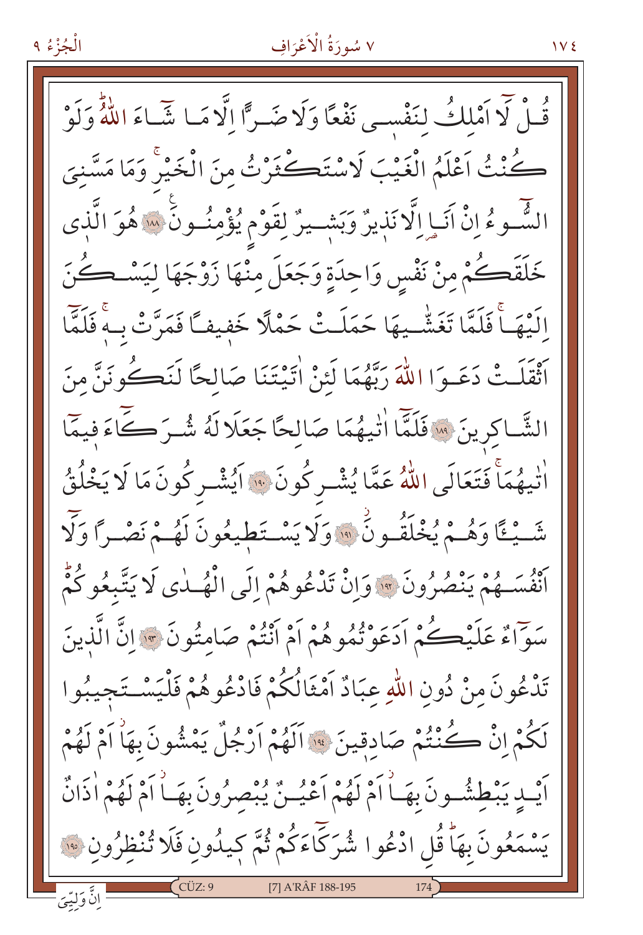قُلْ لَا أَمْلِكُ لِنَفْسِي نَفْعًا وَلَا ضَـرًّا إِلَّا مَـا شَّـاءَ اللَّهُ وَلَوْ كُنْتُ اَعْلَمُ الْغَيْبَ لَاسْتَكْثَرْتُ مِنَ الْخَيْرِ وَمَا مَسَّنِيَ الشَّـوءُ إِنَّ آَنَـاٍ إِلَّا نَذِيرٌ وَبَشِـيرٌ لِقَوْمٍ يُؤْمِنُـونَ سَنَّهُوَ الَّذِى خَلَقَصُكُمْ مِنْ نَفْسٍ وَاحِدَةٍ وَجَعَلَ مِنْهَا زَوْجَهَا لِيَسْـحُـُنَ الَّذِهَـــأَ فَلَمَّا تَغَشَّــيهَا حَمَلَـتْ حَمْلًا خَفيفـًا فَمَرَّتْ بِـهِ فَلَمَّا أَثْقَلَتْ دَعَـوَا اللَّهَ رَبَّهُمَا لَئِنْ اٰتِيْتَنَا صَالحًا لَنَكُونَنَّ مِنَ الشَّـاكرينَ ۚ إِلَّا اللَّهُ عَامَالحًا جَعَلَا لَهُ شُـرَ كَاءَ فيمَا اْتْيِهُمَاْ فَتَعَالَى اللَّهُ عَمَّا يُشْرِكُونَ ۞ ايُشْرِكُونَ مَا لَا يَخْلُقُ شَّيْئًا وَهُمْ يُخْلَقُونَ ۚ وَلَا يَسْتَطِيعُونَ لَهُمْ نَصْرًا وَلَا أَنْفُسَـهُمْ يَنْصُرُونَ \* وَإِنْ تَدْعُوهُمْ إِلَى الْهُــٰدِي لَا يَتَّبِعُوكُمْ سَوَّاءٌ عَلَيْڪُمْ اَدَعَوْتُمُوهُمْ اَمْ اَنْتُمْ صَامِتُونَ \* إِنَّ الَّذِينَ تَدْعُونَ مِنْ دُونِ اللّهِ عِبَادٌ اَمْثَالُكُمْ فَادْعُوهُمْ فَلْيَسْتَجِيبُوا لَكُمْ إِنْ كُنْتُمْ صَادِقِينَ ﴾ اَلَهُمْ اَرْجُلٌ يَمْشُونَ بِهَاٰ اَمْ لَهُمْ أَيْبِ يَبْطِشُونَ بِهَـٰأَامْ لَهُمْ أَعْيُـنٌ يُبْصِرُونَ بِهَـٰأَامْ لَهُمْ أَذَانٌ يَسْمَعُونَ بِهَا قُلِ ادْعُوا شُرَكَّاءَكُمْ ثُمَّ كيلُونِ فَلَا تُنْظِرُونِ ﴾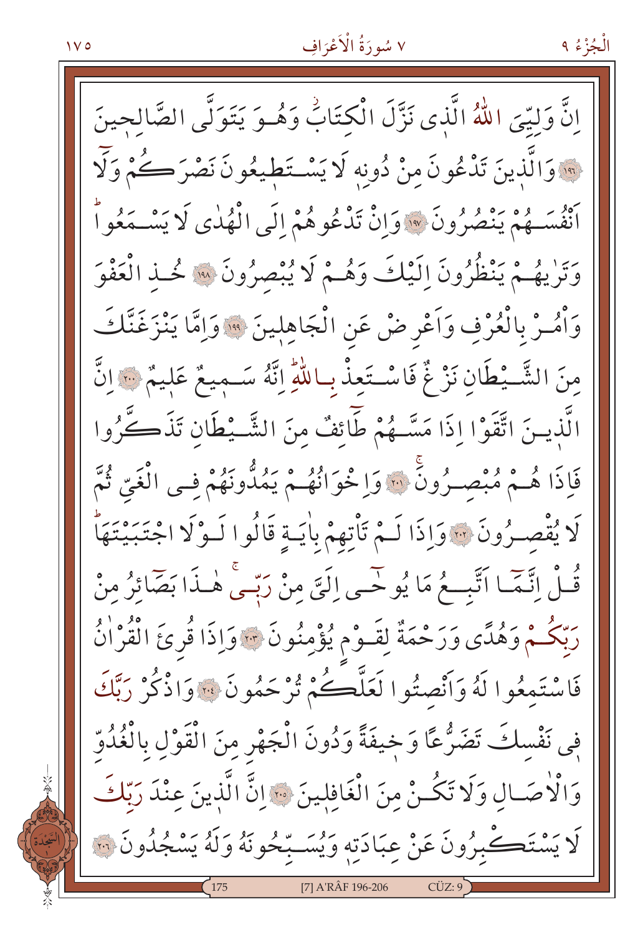إِنَّ وَليِّيَ اللَّهُ الَّذِي نَزَّلَ الْكِتَابُ وَهُـوَ يَتَوَلَّى الصَّالحينَ ِ وَالَّذِينَ تَدْعُونَ مِنْ دُونِه لَا يَسْتَطِيعُونَ نَصْرَكُمْ وَلَّا أَنْفُسَـهُمْ يَنْصُرُونَ ۞ وَإِنْ تَدْعُوهُمْ إِلَى الْهُدٰى لَا يَسْـمَعُواْ وَتَرْيِهُمْ يَنْظُرُونَ إِلَيْكَ وَهُمْ لَا يُبْصِرُونَ ۞ خُـذِ الْعَفْوَ وَأْمُـرْ بِالْعُرْفِ وَاَعْرِ ضْ عَنِ الْجَاهِلِينَ \* وَاِمَّا يَنْزَغَنَّكَ مِنَ الشَّـبْطَانِ نَزْ غٌ فَاسْـتَعِذْ بِاللَّهِ اِنَّهُ سَـميعٌ عَليمٌ ﴾ انَّ الَّذينَ اتَّقَوْا إذَا مَسَّـهُمْ طَّائِفٌ منَ الشَّــْطَانِ تَذَكَّرُوا فَإِذَا هُـمْ مُبْصِـرُونَ ۚ ۚ وَا خُوَانُهُـمْ يَمُدُّونَهُمْ فِـي الْغَيِّ ثُمَّ لَا يُقْصِـرُونَ ۞ وَإِذَا لَـمْ تَأْتِهِمْ بِأَيَـةٍ قَالُوا لَـوْلَا اجْتَبَيْتَهَأَ قُـلْ اِتَّمَّـا اَتَّبِــعُ مَا يُوحِّـى اِلَيَّ مِنْ رَبِّـى هٰـذَا بَصَّائِرُ مِنْ رَبِّكُمْ وَهُدًى وَرَحْمَةٌ لِقَـوْمٍ يُؤْمِنُونَ ٣٠ وَإِذَا قُرِئَ الْقُرْاٰنُ فَاسْتَمِعُوا لَهُ وَأَنْصِتُوا لَعَلَّكُمْ ثُرْحَمُونَ ۞ وَاذْكُرْ رَبَّكَ فِي نَفْسِكَ تَضَرُّعًا وَخِيفَةً وَدُونَ الْجَهْرِ مِنَ الْقَوْلِ بِالْغُدُوّ وَالْأَصَالِ وَلَا تَكُنْ مِنَ الْغَافِلِينَ ﴾ إِنَّ الَّذِينَ عِنْدَ رَبِّكَ لَا يَسْتَكْبِرُونَ عَنْ عِبَادَتِهِ وَيُسَـبِّحُونَهُ وَلَهُ يَسْجُلُونَ ۞ [7] A'RÂF 196-206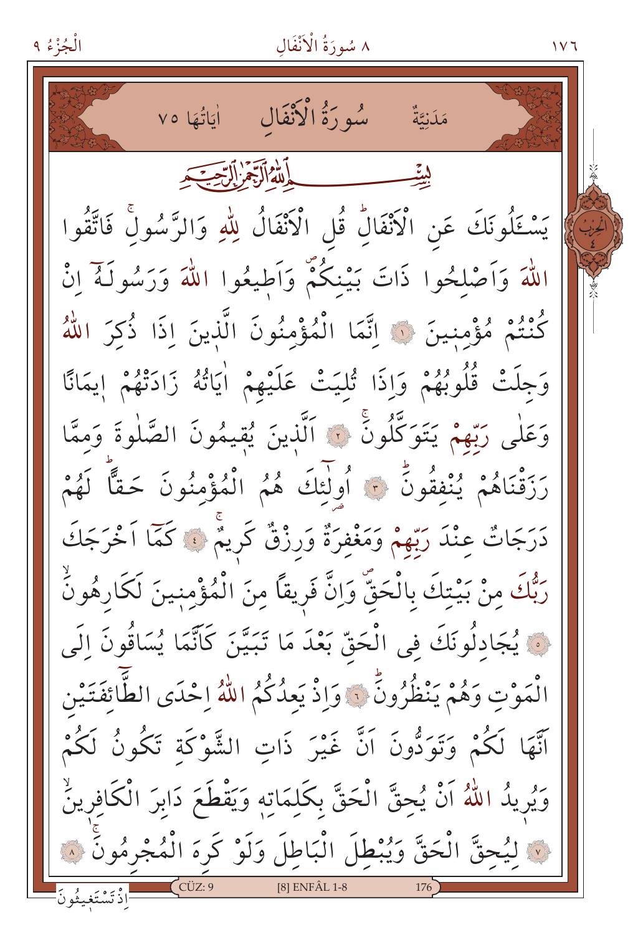٨ سُورَةُ الْأَنْفَالِ

 $117$ 

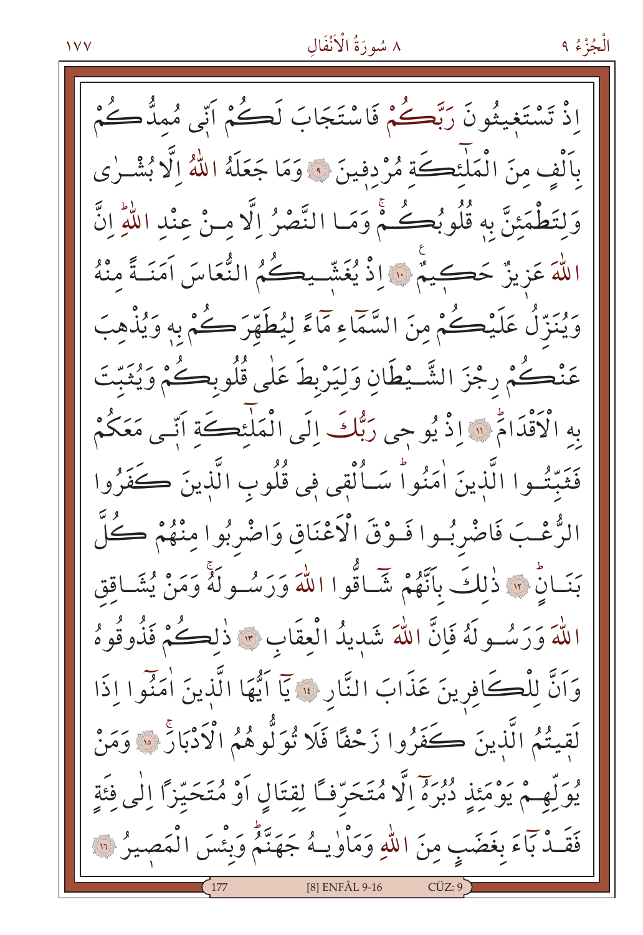# ٨ سُورَةُ الْأَنْفَالِ

اِذْ تَسْتَغِيثُونَ رَبَّكُمْ فَاسْتَجَابَ لَكُمْ اَنِّي مُمدٌّكُمْ بِٱلْف منَ الْمَلْئِكَة مُرْدفينَ ۞ وَمَا جَعَلَهُ اللَّهُ اِلَّا بُشْـرٰى وَلِتَطْمَئِنَّ بِهِ قُلُوبُكُمْ وَمَا النَّصْرُ إِلَّا مِنْ عِنْدِ اللَّهِ انَّ اللَّهَ عَزِيزٌ حَكِيمٌ ﴾ [ذُ يُغَشّـيكُمُ النُّعَاسَ آمَنَـةً منْهُ ويُنزِّلُ عَلَيْكُمْ مِنَ السَّمَاءِ مَاءً لِيُطَهِّرَ كُمْ بِهِ وَيُذْهِبَ عَنْكُمْ رجْزَ الشَّـيْطَانِ وَلِيَرْبِطَ عَلٰى قُلُوبِكُمْ وَيُثَبِّتَ بِهِ الْأَقْدَامُ ۚ إِذْ يُوحِي رَبُّكَ إِلَى الْمَلْئِكَةَ آتِي مَعَكُمْ فَثَبّتُوا الَّذِينَ اٰمَنُواْ سَـاُلْقِي فِي قُلُوبِ الَّذِينَ كَفَرُوا الزُّعْبَ فَاضْرِبُوا فَـوْقَ الْأَعْنَاقِ وَاضْرِبُوا مِنْهُمْ كُلِّ بَنَـانٍّ ۚ إِلَّا ذَٰللَكَ بِأَنَّهُمْ شَـاقُوا اللَّهَ وَرَسُـولَهُ وَمَنْ يُشَـاقِق اللَّهَ وَرَسُولَهُ فَإِنَّ اللَّهَ شَدِيدُ الْعقَابِ \* ذٰلِكُمْ فَذُوقُوهُ وَاَنَّ لِلْكَافِرِينَ عَذَابَ النَّارِ \* يَا اَيُّهَا الَّذِينَ اٰمَنُوا إِذَا لَقِيتُمُ الَّذِينَ كَفَرُوا زَحْفًا فَلَا تُوَلُّوهُمُ الْأَدْبَارَ ۚ ۚ وَمَنْ يُوَلُّهِمْ يَوْمَئِذِ دُبُرَهُ إِلَّا مُتَحَرِّفًا لِقِتَالِ أَوْ مُتَحَيِّزًا إِلَى فَئَةِ فَقَـٰدٌ بَآءَ بِغَضَبٍ مِنَ اللّٰهِ وَمَاْوٰیـهُ جَهَنَّمُ وَبِئْسَ الْمَصِيرُ ۞ [8] ENFÂL 9-16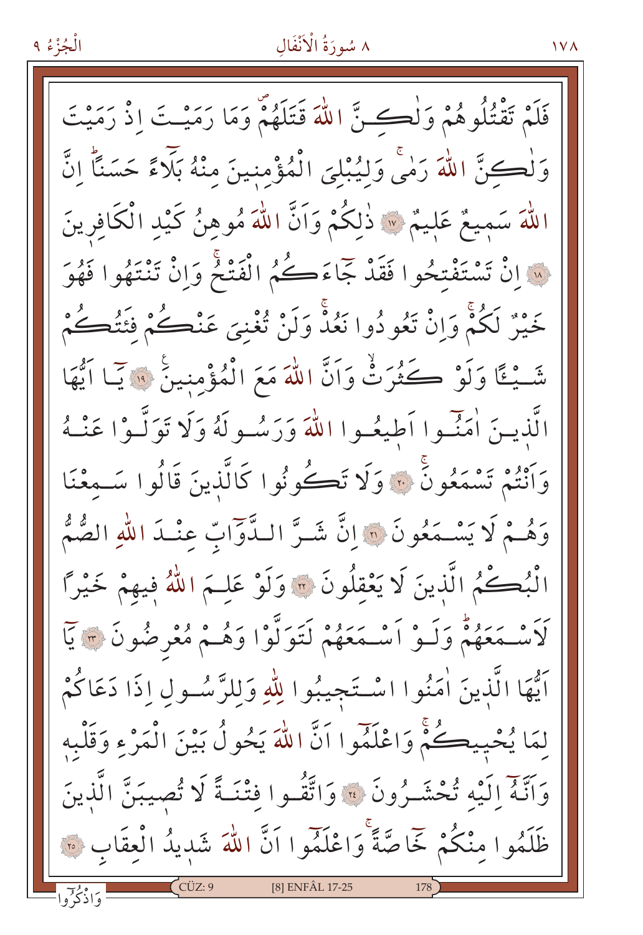#### ٨ سُورَةُ الْأَنْفَالِ

فَلَمْ تَقْتُلُوهُمْ وَلْكَ نَّ اللَّهَ قَتَلَهُمْ وَمَا رَمَيْتَ إِذْ رَمَيْتَ وَلْكِنَّ اللَّهَ رَامًى وَلِيُبْلِيَ الْمُؤْمِنِينَ مِنْهُ بَلَاءً حَسَنًا إِنَّ اللَّهَ سَمِيعٌ عَلِيمٌ \* ذَٰلِكُمْ وَاَنَّ اللَّهَ مُوهِنُ كَيْدِ الْكَافِرِينَ لِهِ إِنْ يَمْتَفْتِحُوا فَقَدْ جَاءَكُمُ الْفَتْحُ وَإِنْ تَنْتَهُوا فَهُوَ خَيْرٌ لَكُمْ وَانْ تَعُودُوا نَعُدْ وَلَنْ تُغْنِيَ عَنْڪُمْ فِئَتُڪُمْ شَّيْئًا وَلَوْ كَثُرَتْ وَاَنَّ اللَّهَ مَعَ الْمُؤْمِنِينَ ۚ ۚ يَا اَيُّهَا الَّذِينَ أُمَنِّسُوا أَطِيعُسُوا اللَّهَ وَرَسُسُولَهُ وَلَا تَوَلَّسُوْا عَنْسُهُ وَانْتُمْ تَسْمَعُونَّ ۚ ، وَلَا تَكُونُوا كَالَّذِينَ قَالُوا سَـمعْنَا وَهُـمْ لَا يَسْـمَعُونَ ۞ إِنَّ شَـرَّ الـدَّوَّابِّ عِنْـدَ اللهِ الصُّمُّ الْبُكْمُ الَّذِينَ لَا يَعْقِلُونَ ۞ وَلَوْ عَلِـمَ اللَّهُ فِيهِمْ خَيْرًا لَأَسْمَعَهُمْ وَلَـوْ أَسْمَعَهُمْ لَتَوَلَّوْا وَهُـمْ مُعْرِضُونَ ٣ يَا آيُّهَا الَّذِينَ أَمَنُوا اسْتَجِيبُوا لِلَّهِ وَلِلرَّسُولِ إِذَا دَعَاكُمْ لِمَا يُحْيِيكُمْ وَاعْلَمُوا اَنَّ اللَّهَ يَحُولُ بَيْنَ الْمَرْءِ وَقَلْبِهِ وَاتَّهُ إِلَيْهِ تُحْشَـرُونَ ۞ وَاتَّقُـوا فَتْنَـةً لَا تُصيبَنَّ الَّذِينَ ظَلَمُوا منْكُمْ خَاصَّةً وَاعْلَمُوا اَنَّ اللَّهَ شَدِيدُ الْعِقَابِ ۞

[8] ENFÂL 17-25

**IVA**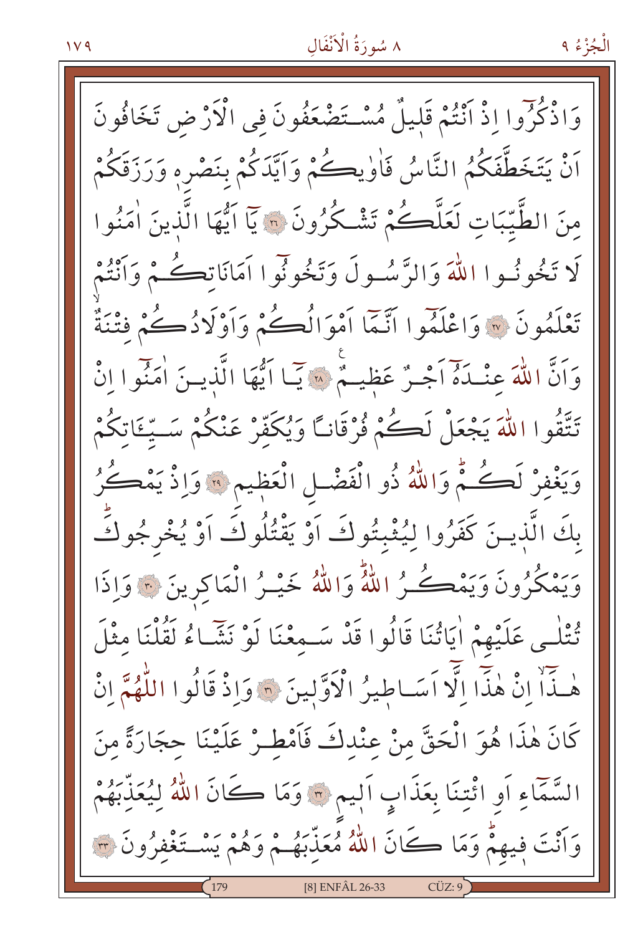#### $119$

# ٨ سُورَةُ الْأَنْفَالِ

الْجُزْءُ ۹

وَاذْكُرُوا إِذْ أَنْتُمْ قَلِيلٌ مُسْتَضْعَفُونَ فِي الْأَرْضِ تَخَافُونَ اَنْ يَتَخَطَّفَكُمُ النَّاسُ فَاٰوٰيڪُمْ وَاَيَّدَكُمْ بِنَصْرِهِ وَرَزَقَكُمْ منَ الطَّيِّبَاتِ لَعَلَّكُمْ تَشْكُرُونَ ۞ يَا اَيُّهَا الَّذينَ اٰمَنُوا لَا تَخُونُهوا اللَّهَ وَالرَّسُولَ وَتَخُونُوا أَمَانَاتِكُمْ وَأَنْتُمْ تَعْلَمُونَ ۞ وَاعْلَمُوا أَنَّمَّا أَمْوَالُكُمْ وَأَوْلَادُكُمْ فَتْنَةٌ وَاَنَّ اللَّهَ عِنْـدَهُ اَجْـرٌ عَظِيــمٌ ۞ يَبَا اَيُّهَا الَّذِيـنَ اٰمَنُوا إِنْ تَتَّقُوا اللَّهَ يَجْعَلْ لَكُمْ فُرْقَانًا وَيُكَفَّرْ عَنْكُمْ سَتِّئَاتِكُمْ وَيَغْفِرْ لَكُثْمٌ وَاللَّهُ ذُو الْفَضْلِ الْعَظِيمِ ۚ وَاِذْ يَمْكُنُ بِكَ الَّذِينَ كَفَرُوا لِيُثْبِتُوكَ أَوْ يَقْتُلُوكَ أَوْ يُخْرِجُوكَ وَيَمْكُرُونَ وَيَمْكُـرُ اللَّهُ وَاللَّهُ خَيْـرُ الْمَاكِرِينَ \* وَإِذَا تُتْلَى عَلَيْهِمْ اٰيَاتُنَا قَالُوا قَدْ سَـمِعْنَا لَوْ نَشَّاءُ لَقُلْنَا مِثْلَ هٰذَاْ إِنْ هٰذَا إِلَّا اَسَاطِيرُ الْأَوَّلِينَ ۞ وَإِذْ قَالُوا اللَّهُمَّ إِنْ كَانَ هٰذَا هُوَ الْحَقَّ مِنْ عِنْدِكَ فَأَمْطِـرْ عَلَيْنَا حِجَارَةً مِنَ السَّمَّاءِ أَو ائْتِنَا بِعَذَابِ أَلِيمٍ ۞ وَمَا كَانَ اللَّهُ لِيُعَذِّبَهُمْ وَأَنْتَ فِيهِمْ وَمَا كَانَ اللَّهُ مُعَذِّبَهُـمْ وَهُمْ يَسْتَغْفِرُونَ ٣ [8] ENFÂL 26-33